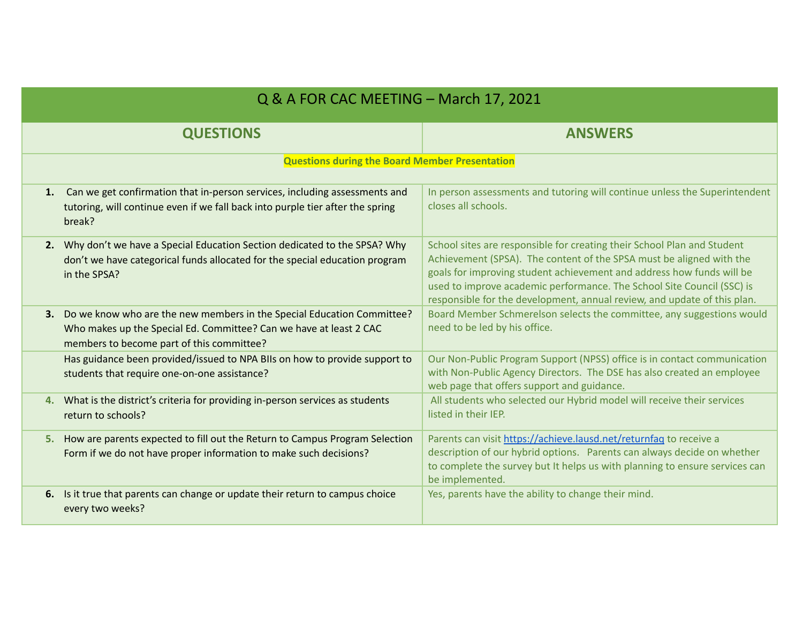| Q & A FOR CAC MEETING - March 17, 2021                |                                                                                                                                                              |                                                                                                                                                                                                                                                                                                                                                                                |  |
|-------------------------------------------------------|--------------------------------------------------------------------------------------------------------------------------------------------------------------|--------------------------------------------------------------------------------------------------------------------------------------------------------------------------------------------------------------------------------------------------------------------------------------------------------------------------------------------------------------------------------|--|
| <b>QUESTIONS</b>                                      |                                                                                                                                                              | <b>ANSWERS</b>                                                                                                                                                                                                                                                                                                                                                                 |  |
| <b>Questions during the Board Member Presentation</b> |                                                                                                                                                              |                                                                                                                                                                                                                                                                                                                                                                                |  |
| 1.<br>break?                                          | Can we get confirmation that in-person services, including assessments and<br>tutoring, will continue even if we fall back into purple tier after the spring | In person assessments and tutoring will continue unless the Superintendent<br>closes all schools.                                                                                                                                                                                                                                                                              |  |
| in the SPSA?                                          | 2. Why don't we have a Special Education Section dedicated to the SPSA? Why<br>don't we have categorical funds allocated for the special education program   | School sites are responsible for creating their School Plan and Student<br>Achievement (SPSA). The content of the SPSA must be aligned with the<br>goals for improving student achievement and address how funds will be<br>used to improve academic performance. The School Site Council (SSC) is<br>responsible for the development, annual review, and update of this plan. |  |
| members to become part of this committee?             | 3. Do we know who are the new members in the Special Education Committee?<br>Who makes up the Special Ed. Committee? Can we have at least 2 CAC              | Board Member Schmerelson selects the committee, any suggestions would<br>need to be led by his office.                                                                                                                                                                                                                                                                         |  |
| students that require one-on-one assistance?          | Has guidance been provided/issued to NPA BIIs on how to provide support to                                                                                   | Our Non-Public Program Support (NPSS) office is in contact communication<br>with Non-Public Agency Directors. The DSE has also created an employee<br>web page that offers support and guidance.                                                                                                                                                                               |  |
| return to schools?                                    | 4. What is the district's criteria for providing in-person services as students                                                                              | All students who selected our Hybrid model will receive their services<br>listed in their IEP.                                                                                                                                                                                                                                                                                 |  |
|                                                       | 5. How are parents expected to fill out the Return to Campus Program Selection<br>Form if we do not have proper information to make such decisions?          | Parents can visit https://achieve.lausd.net/returnfag to receive a<br>description of our hybrid options. Parents can always decide on whether<br>to complete the survey but It helps us with planning to ensure services can<br>be implemented.                                                                                                                                |  |
| every two weeks?                                      | 6. Is it true that parents can change or update their return to campus choice                                                                                | Yes, parents have the ability to change their mind.                                                                                                                                                                                                                                                                                                                            |  |